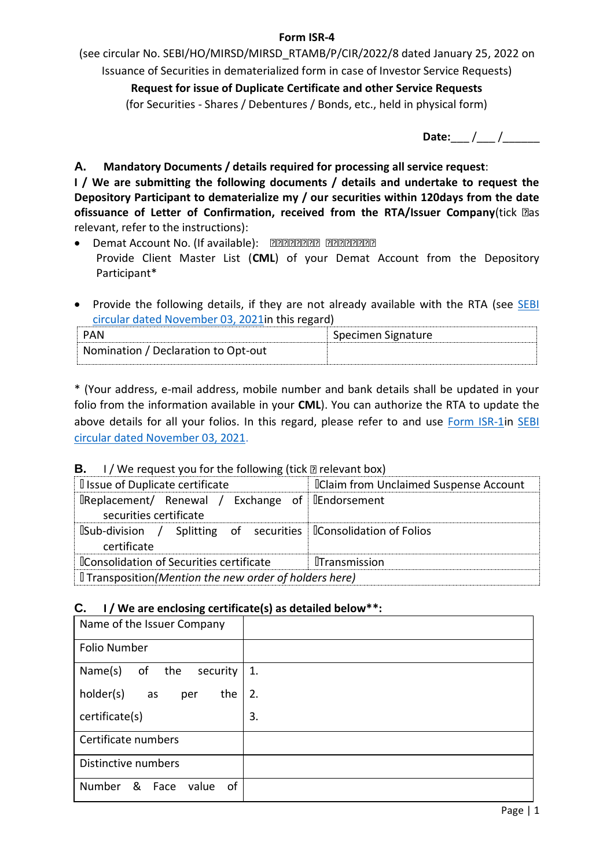### **Form ISR-4**

(see circular No. SEBI/HO/MIRSD/MIRSD\_RTAMB/P/CIR/2022/8 dated January 25, 2022 on Issuance of Securities in dematerialized form in case of Investor Service Requests)

**Request for issue of Duplicate Certificate and other Service Requests** (for Securities - Shares / Debentures / Bonds, etc., held in physical form)

**Date:** / /

**A. Mandatory Documents / details required for processing all service request**:

**I / We are submitting the following documents / details and undertake to request the Depository Participant to dematerialize my / our securities within 120days from the date ofissuance of Letter of Confirmation, received from the RTA/Issuer Company(tick as** relevant, refer to the instructions):

- **•** Demat Account No. (If available): **EEEEEEEE** EEEEEEEE Provide Client Master List (**CML**) of your Demat Account from the Depository Participant\*
- Provide the following details, if they are not already available with the RTA (see SEBI [circular dated November 03, 2021in](https://www.sebi.gov.in/legal/circulars/nov-2021/common-and-simplified-norms-for-processing-investor-s-service-request-by-rtas-and-norms-for-furnishing-pan-kyc-details-and-nomination_53787.html) this regard)

| PAN                                 | Specimen Signature |
|-------------------------------------|--------------------|
| Nomination / Declaration to Opt-out |                    |

\* (Your address, e-mail address, mobile number and bank details shall be updated in your folio from the information available in your **CML**). You can authorize the RTA to update the above details for all your folios. In this regard, please refer to and use [Form ISR-1i](https://www.sebi.gov.in/sebi_data/commondocs/dec-2021/pdf%20Form%20ISR-1%20(1)_p.pdf)n SEBI [circular dated November 03, 2021.](https://www.sebi.gov.in/legal/circulars/nov-2021/common-and-simplified-norms-for-processing-investor-s-service-request-by-rtas-and-norms-for-furnishing-pan-kyc-details-and-nomination_53787.html)

# **B.** I / We request you for the following (tick  $\mathbb{D}$  relevant box)

| I Issue of Duplicate certificate                                                                      | <b>IClaim from Unclaimed Suspense Account</b> |  |  |
|-------------------------------------------------------------------------------------------------------|-----------------------------------------------|--|--|
| $\Box$ Replacement/ Renewal / Exchange of $\Box$ Endorsement<br>securities certificate                |                                               |  |  |
| $\mathbb B$ Sub-division / Splitting of securities $\mathbb B$ Consolidation of Folios<br>certificate |                                               |  |  |
| <b>IConsolidation of Securities certificate</b>                                                       | <b>ITransmission</b>                          |  |  |
| I Transposition (Mention the new order of holders here)                                               |                                               |  |  |

# **C. I / We are enclosing certificate(s) as detailed below\*\*:**

| Name of the Issuer Company         |    |
|------------------------------------|----|
| Folio Number                       |    |
| Name(s)<br>of<br>the<br>security   | 1. |
| holder(s)<br>the<br>as<br>per      | 2. |
| certificate(s)                     | 3. |
| Certificate numbers                |    |
| Distinctive numbers                |    |
| Number<br>&<br>of<br>Face<br>value |    |